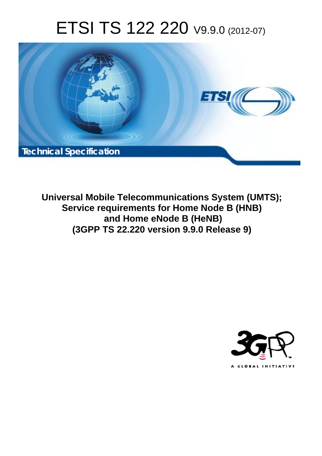# ETSI TS 122 220 V9.9.0 (2012-07)



**Universal Mobile Telecommunications System (UMTS); Service requirements for Home Node B (HNB) and Home eNode B (HeNB) (3GPP TS 22.220 version 9.9.0 Release 9)** 

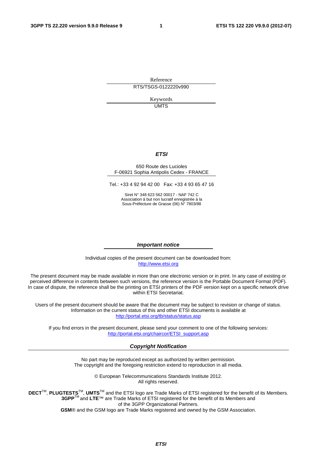Reference RTS/TSGS-0122220v990

> Keywords UMTS

#### *ETSI*

#### 650 Route des Lucioles F-06921 Sophia Antipolis Cedex - FRANCE

Tel.: +33 4 92 94 42 00 Fax: +33 4 93 65 47 16

Siret N° 348 623 562 00017 - NAF 742 C Association à but non lucratif enregistrée à la Sous-Préfecture de Grasse (06) N° 7803/88

#### *Important notice*

Individual copies of the present document can be downloaded from: [http://www.etsi.org](http://www.etsi.org/)

The present document may be made available in more than one electronic version or in print. In any case of existing or perceived difference in contents between such versions, the reference version is the Portable Document Format (PDF). In case of dispute, the reference shall be the printing on ETSI printers of the PDF version kept on a specific network drive within ETSI Secretariat.

Users of the present document should be aware that the document may be subject to revision or change of status. Information on the current status of this and other ETSI documents is available at <http://portal.etsi.org/tb/status/status.asp>

If you find errors in the present document, please send your comment to one of the following services: [http://portal.etsi.org/chaircor/ETSI\\_support.asp](http://portal.etsi.org/chaircor/ETSI_support.asp)

#### *Copyright Notification*

No part may be reproduced except as authorized by written permission. The copyright and the foregoing restriction extend to reproduction in all media.

> © European Telecommunications Standards Institute 2012. All rights reserved.

DECT<sup>™</sup>, PLUGTESTS<sup>™</sup>, UMTS<sup>™</sup> and the ETSI logo are Trade Marks of ETSI registered for the benefit of its Members. **3GPP**TM and **LTE**™ are Trade Marks of ETSI registered for the benefit of its Members and of the 3GPP Organizational Partners.

**GSM**® and the GSM logo are Trade Marks registered and owned by the GSM Association.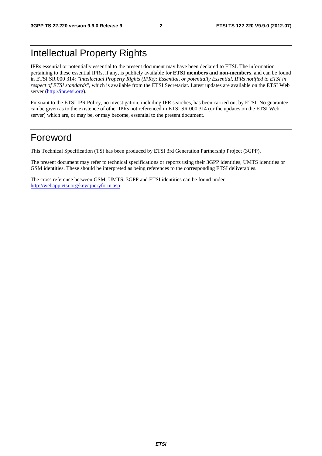# Intellectual Property Rights

IPRs essential or potentially essential to the present document may have been declared to ETSI. The information pertaining to these essential IPRs, if any, is publicly available for **ETSI members and non-members**, and can be found in ETSI SR 000 314: *"Intellectual Property Rights (IPRs); Essential, or potentially Essential, IPRs notified to ETSI in respect of ETSI standards"*, which is available from the ETSI Secretariat. Latest updates are available on the ETSI Web server [\(http://ipr.etsi.org](http://webapp.etsi.org/IPR/home.asp)).

Pursuant to the ETSI IPR Policy, no investigation, including IPR searches, has been carried out by ETSI. No guarantee can be given as to the existence of other IPRs not referenced in ETSI SR 000 314 (or the updates on the ETSI Web server) which are, or may be, or may become, essential to the present document.

# Foreword

This Technical Specification (TS) has been produced by ETSI 3rd Generation Partnership Project (3GPP).

The present document may refer to technical specifications or reports using their 3GPP identities, UMTS identities or GSM identities. These should be interpreted as being references to the corresponding ETSI deliverables.

The cross reference between GSM, UMTS, 3GPP and ETSI identities can be found under [http://webapp.etsi.org/key/queryform.asp.](http://webapp.etsi.org/key/queryform.asp)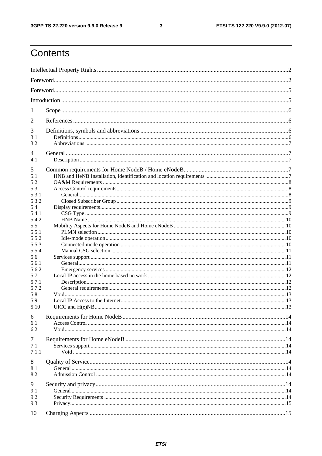#### $\mathbf{3}$

# Contents

| 1            |  |  |  |  |  |  |  |
|--------------|--|--|--|--|--|--|--|
| 2            |  |  |  |  |  |  |  |
|              |  |  |  |  |  |  |  |
| 3<br>3.1     |  |  |  |  |  |  |  |
| 3.2          |  |  |  |  |  |  |  |
| 4            |  |  |  |  |  |  |  |
| 4.1          |  |  |  |  |  |  |  |
| 5            |  |  |  |  |  |  |  |
| 5.1          |  |  |  |  |  |  |  |
| 5.2          |  |  |  |  |  |  |  |
| 5.3          |  |  |  |  |  |  |  |
| 5.3.1        |  |  |  |  |  |  |  |
| 5.3.2        |  |  |  |  |  |  |  |
| 5.4          |  |  |  |  |  |  |  |
| 5.4.1        |  |  |  |  |  |  |  |
| 5.4.2        |  |  |  |  |  |  |  |
| 5.5<br>5.5.1 |  |  |  |  |  |  |  |
| 5.5.2        |  |  |  |  |  |  |  |
| 5.5.3        |  |  |  |  |  |  |  |
| 5.5.4        |  |  |  |  |  |  |  |
| 5.6          |  |  |  |  |  |  |  |
| 5.6.1        |  |  |  |  |  |  |  |
| 5.6.2        |  |  |  |  |  |  |  |
| 5.7          |  |  |  |  |  |  |  |
| 5.7.1        |  |  |  |  |  |  |  |
| 5.7.2        |  |  |  |  |  |  |  |
| 5.8          |  |  |  |  |  |  |  |
| 5.9          |  |  |  |  |  |  |  |
| 5.10         |  |  |  |  |  |  |  |
| 6            |  |  |  |  |  |  |  |
| 6.1          |  |  |  |  |  |  |  |
| 6.2          |  |  |  |  |  |  |  |
|              |  |  |  |  |  |  |  |
| 7<br>7.1     |  |  |  |  |  |  |  |
| 7.1.1        |  |  |  |  |  |  |  |
|              |  |  |  |  |  |  |  |
| 8            |  |  |  |  |  |  |  |
| 8.1          |  |  |  |  |  |  |  |
| 8.2          |  |  |  |  |  |  |  |
| 9            |  |  |  |  |  |  |  |
| 9.1          |  |  |  |  |  |  |  |
| 9.2          |  |  |  |  |  |  |  |
| 9.3          |  |  |  |  |  |  |  |
|              |  |  |  |  |  |  |  |
| 10           |  |  |  |  |  |  |  |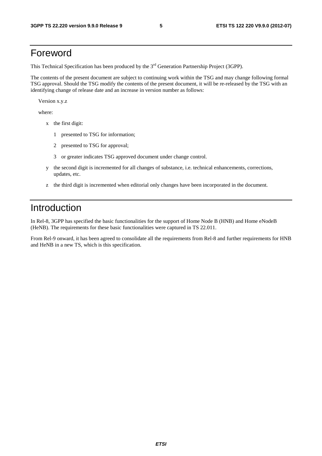# Foreword

This Technical Specification has been produced by the 3<sup>rd</sup> Generation Partnership Project (3GPP).

The contents of the present document are subject to continuing work within the TSG and may change following formal TSG approval. Should the TSG modify the contents of the present document, it will be re-released by the TSG with an identifying change of release date and an increase in version number as follows:

Version x.y.z

where:

- x the first digit:
	- 1 presented to TSG for information;
	- 2 presented to TSG for approval;
	- 3 or greater indicates TSG approved document under change control.
- y the second digit is incremented for all changes of substance, i.e. technical enhancements, corrections, updates, etc.
- z the third digit is incremented when editorial only changes have been incorporated in the document.

# Introduction

In Rel-8, 3GPP has specified the basic functionalities for the support of Home Node B (HNB) and Home eNodeB (HeNB). The requirements for these basic functionalities were captured in TS 22.011.

From Rel-9 onward, it has been agreed to consolidate all the requirements from Rel-8 and further requirements for HNB and HeNB in a new TS, which is this specification.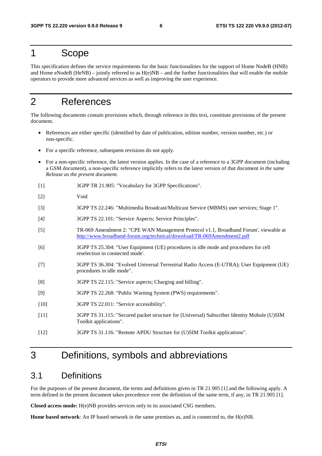# 1 Scope

This specification defines the service requirements for the basic functionalities for the support of Home NodeB (HNB) and Home eNodeB (HeNB) – jointly referred to as  $H(e)NB$  – and the further functionalities that will enable the mobile operators to provide more advanced services as well as improving the user experience.

# 2 References

The following documents contain provisions which, through reference in this text, constitute provisions of the present document.

- References are either specific (identified by date of publication, edition number, version number, etc.) or non-specific.
- For a specific reference, subsequent revisions do not apply.
- For a non-specific reference, the latest version applies. In the case of a reference to a 3GPP document (including a GSM document), a non-specific reference implicitly refers to the latest version of that document *in the same Release as the present document*.
- [1] 3GPP TR 21.905: "Vocabulary for 3GPP Specifications".
- [2] Void
- [3] 3GPP TS 22.246: "Multimedia Broadcast/Multicast Service (MBMS) user services; Stage 1".
- [4] 3GPP TS 22.101: "Service Aspects; Service Principles".
- [5] TR-069 Amendment 2: "CPE WAN Management Protocol v1.1, Broadband Forum', viewable at <http://www.broadband-forum.org/technical/download/TR-069Amendment2.pdf>
- [6] 3GPP TS 25.304: "User Equipment (UE) procedures in idle mode and procedures for cell reselection in connected mode'.
- [7] 3GPP TS 36.304: "Evolved Universal Terrestrial Radio Access (E-UTRA); User Equipment (UE) procedures in idle mode".
- [8] 3GPP TS 22.115: "Service aspects; Charging and billing".
- [9] 3GPP TS 22.268: "Public Warning System (PWS) requirements".
- [10] 3GPP TS 22.011: "Service accessibility".
- [11] 3GPP TS 31.115: "Secured packet structure for (Universal) Subscriber Identity Mobule (U)SIM Toolkit applications".
- [12] 3GPP TS 31.116: "Remote APDU Structure for (U)SIM Toolkit applications".

# 3 Definitions, symbols and abbreviations

### 3.1 Definitions

For the purposes of the present document, the terms and definitions given in TR 21.905 [1] and the following apply. A term defined in the present document takes precedence over the definition of the same term, if any, in TR 21.905 [1].

**Closed access mode:** H(e)NB provides services only to its associated CSG members.

**Home based network**: An IP based network in the same premises as, and is connected to, the H(e)NB.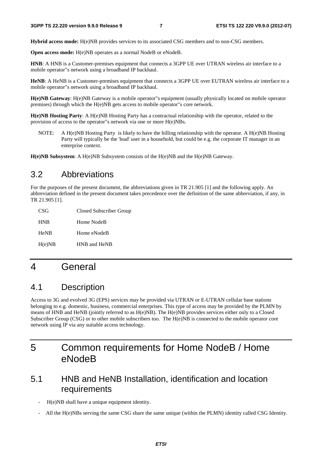**Hybrid access mode:** H(e)NB provides services to its associated CSG members and to non-CSG members.

**Open access mode:** H(e)NB operates as a normal NodeB or eNodeB.

**HNB**: A HNB is a Customer-premises equipment that connects a 3GPP UE over UTRAN wireless air interface to a mobile operator"s network using a broadband IP backhaul.

**HeNB**: A HeNB is a Customer-premises equipment that connects a 3GPP UE over EUTRAN wireless air interface to a mobile operator"s network using a broadband IP backhaul.

**H(e)NB Gateway**: H(e)NB Gateway is a mobile operator"s equipment (usually physically located on mobile operator premises) through which the H(e)NB gets access to mobile operator"s core network.

**H(e)NB Hosting Party**: A H(e)NB Hosting Party has a contractual relationship with the operator, related to the provision of access to the operator"s network via one or more H(e)NBs.

NOTE: A H(e)NB Hosting Party is likely to have the billing relationship with the operator. A H(e)NB Hosting Party will typically be the 'lead' user in a household, but could be e.g. the corporate IT manager in an enterprise context.

**H(e)NB Subsystem**: A H(e)NB Subsystem consists of the H(e)NB and the H(e)NB Gateway.

### 3.2 Abbreviations

For the purposes of the present document, the abbreviations given in TR 21.905 [1] and the following apply. An abbreviation defined in the present document takes precedence over the definition of the same abbreviation, if any, in TR 21.905 [1].

| CSG         | Closed Subscriber Group |
|-------------|-------------------------|
| <b>HNB</b>  | Home NodeB              |
| <b>HeNB</b> | Home eNodeB             |
| H(e)NB      | HNB and HeNB            |

# 4 General

### 4.1 Description

Access to 3G and evolved 3G (EPS) services may be provided via UTRAN or E-UTRAN cellular base stations belonging to e.g. domestic, business, commercial enterprises. This type of access may be provided by the PLMN by means of HNB and HeNB (jointly referred to as H(e)NB). The H(e)NB provides services either only to a Closed Subscriber Group (CSG) or to other mobile subscribers too. The H(e)NB is connected to the mobile operator core network using IP via any suitable access technology.

# 5 Common requirements for Home NodeB / Home eNodeB

## 5.1 HNB and HeNB Installation, identification and location requirements

- H(e)NB shall have a unique equipment identity.
- All the H(e)NBs serving the same CSG share the same unique (within the PLMN) identity called CSG Identity.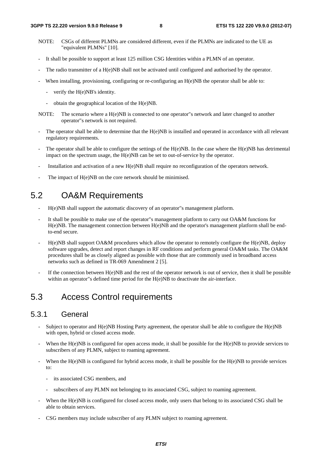- NOTE: CSGs of different PLMNs are considered different, even if the PLMNs are indicated to the UE as "equivalent PLMNs" [10].
- It shall be possible to support at least 125 million CSG Identities within a PLMN of an operator.
- The radio transmitter of a H(e)NB shall not be activated until configured and authorised by the operator.
- When installing, provisioning, configuring or re-configuring an  $H(e)NB$  the operator shall be able to:
	- verify the H(e)NB's identity.
	- obtain the geographical location of the H(e)NB.
- NOTE: The scenario where a H(e)NB is connected to one operator"s network and later changed to another operator"s network is not required.
- The operator shall be able to determine that the H(e)NB is installed and operated in accordance with all relevant regulatory requirements.
- The operator shall be able to configure the settings of the  $H(e)NB$ . In the case where the  $H(e)NB$  has detrimental impact on the spectrum usage, the H(e)NB can be set to out-of-service by the operator.
- Installation and activation of a new H(e)NB shall require no reconfiguration of the operators network.
- The impact of H(e)NB on the core network should be minimised.

# 5.2 OA&M Requirements

- H(e)NB shall support the automatic discovery of an operator"s management platform.
- It shall be possible to make use of the operator"s management platform to carry out OA&M functions for H(e)NB. The management connection between H(e)NB and the operator's management platform shall be endto-end secure.
- H(e)NB shall support OA&M procedures which allow the operator to remotely configure the H(e)NB, deploy software upgrades, detect and report changes in RF conditions and perform general OA&M tasks. The OA&M procedures shall be as closely aligned as possible with those that are commonly used in broadband access networks such as defined in TR-069 Amendment 2 [5].
- If the connection between  $H(e)NB$  and the rest of the operator network is out of service, then it shall be possible within an operator"s defined time period for the H(e)NB to deactivate the air-interface.

# 5.3 Access Control requirements

### 5.3.1 General

- Subject to operator and  $H(e)NB$  Hosting Party agreement, the operator shall be able to configure the  $H(e)NB$ with open, hybrid or closed access mode.
- When the  $H(e)NB$  is configured for open access mode, it shall be possible for the  $H(e)NB$  to provide services to subscribers of any PLMN, subject to roaming agreement.
- When the H(e)NB is configured for hybrid access mode, it shall be possible for the H(e)NB to provide services to:
	- its associated CSG members, and
	- subscribers of any PLMN not belonging to its associated CSG, subject to roaming agreement.
- When the H(e)NB is configured for closed access mode, only users that belong to its associated CSG shall be able to obtain services.
- CSG members may include subscriber of any PLMN subject to roaming agreement.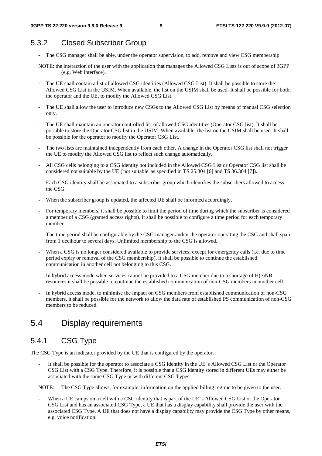### 5.3.2 Closed Subscriber Group

- The CSG manager shall be able, under the operator supervision, to add, remove and view CSG membership
- NOTE: the interaction of the user with the application that manages the Allowed CSG Lists is out of scope of 3GPP (e.g. Web interface).
- The UE shall contain a list of allowed CSG identities (Allowed CSG List). It shall be possible to store the Allowed CSG List in the USIM. When available, the list on the USIM shall be used. It shall be possible for both, the operator and the UE, to modify the Allowed CSG List.
- The UE shall allow the user to introduce new CSGs to the Allowed CSG List by means of manual CSG selection only.
- The UE shall maintain an operator controlled list of allowed CSG identities (Operator CSG list). It shall be possible to store the Operator CSG list in the USIM. When available, the list on the USIM shall be used. It shall be possible for the operator to modify the Operator CSG List.
- The two lists are maintained independently from each other. A change in the Operator CSG list shall not trigger the UE to modify the Allowed CSG list to reflect such change automatically.
- All CSG cells belonging to a CSG identity not included in the Allowed CSG List or Operator CSG list shall be considered not suitable by the UE ('not suitable' as specified in TS 25.304 [6] and TS 36.304 [7]).
- Each CSG identity shall be associated to a subscriber group which identifies the subscribers allowed to access the CSG.
- When the subscriber group is updated, the affected UE shall be informed accordingly.
- For temporary members, it shall be possible to limit the period of time during which the subscriber is considered a member of a CSG (granted access rights). It shall be possible to configure a time period for each temporary member.
- The time period shall be configurable by the CSG manager and/or the operator operating the CSG and shall span from 1 decihour to several days. Unlimited membership to the CSG is allowed.
- When a CSG is no longer considered available to provide services, except for emergency calls (i.e. due to time period expiry or removal of the CSG membership), it shall be possible to continue the established communication in another cell not belonging to this CSG.
- In hybrid access mode when services cannot be provided to a CSG member due to a shortage of  $H(e)NB$ resources it shall be possible to continue the established communication of non-CSG members in another cell.
- In hybrid access mode, to minimise the impact on CSG members from established communication of non-CSG members, it shall be possible for the network to allow the data rate of established PS communication of non-CSG members to be reduced.

## 5.4 Display requirements

### 5.4.1 CSG Type

The CSG Type is an indicator provided by the UE that is configured by the operator.

It shall be possible for the operator to associate a CSG identity in the UE"s Allowed CSG List or the Operator CSG List with a CSG Type. Therefore, it is possible that a CSG identity stored in different UEs may either be associated with the same CSG Type or with different CSG Types.

NOTE: The CSG Type allows, for example, information on the applied billing regime to be given to the user.

When a UE camps on a cell with a CSG identity that is part of the UE"s Allowed CSG List or the Operator CSG List and has an associated CSG Type, a UE that has a display capability shall provide the user with the associated CSG Type. A UE that does not have a display capability may provide the CSG Type by other means, e.g. voice notification.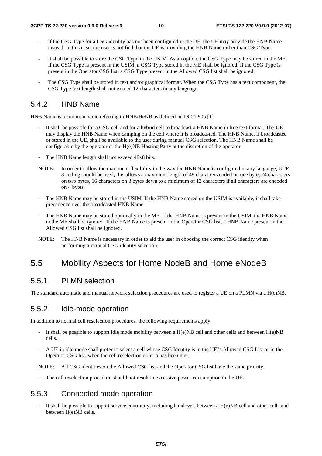- If the CSG Type for a CSG identity has not been configured in the UE, the UE may provide the HNB Name instead. In this case, the user is notified that the UE is providing the HNB Name rather than CSG Type.
- It shall be possible to store the CSG Type in the USIM. As an option, the CSG Type may be stored in the ME. If the CSG Type is present in the USIM, a CSG Type stored in the ME shall be ignored. If the CSG Type is present in the Operator CSG list, a CSG Type present in the Allowed CSG list shall be ignored.
- The CSG Type shall be stored in text and/or graphical format. When the CSG Type has a text component, the CSG Type text length shall not exceed 12 characters in any language.

### 5.4.2 HNB Name

HNB Name is a common name referring to HNB/HeNB as defined in TR 21.905 [1].

- It shall be possible for a CSG cell and for a hybrid cell to broadcast a HNB Name in free text format. The UE may display the HNB Name when camping on the cell where it is broadcasted. The HNB Name, if broadcasted or stored in the UE, shall be available to the user during manual CSG selection. The HNB Name shall be configurable by the operator or the H(e)NB Hosting Party at the discretion of the operator.
- The HNB Name length shall not exceed 48x8 bits.
- NOTE: In order to allow the maximum flexibility in the way the HNB Name is configured in any language, UTF-8 coding should be used; this allows a maximum length of 48 characters coded on one byte, 24 characters on two bytes, 16 characters on 3 bytes down to a minimum of 12 characters if all characters are encoded on 4 bytes.
- The HNB Name may be stored in the USIM. If the HNB Name stored on the USIM is available, it shall take precedence over the broadcasted HNB Name.
- The HNB Name may be stored optionally in the ME. If the HNB Name is present in the USIM, the HNB Name in the ME shall be ignored. If the HNB Name is present in the Operator CSG list, a HNB Name present in the Allowed CSG list shall be ignored.
- NOTE: The HNB Name is necessary in order to aid the user in choosing the correct CSG identity when performing a manual CSG identity selection.

# 5.5 Mobility Aspects for Home NodeB and Home eNodeB

### 5.5.1 PLMN selection

The standard automatic and manual network selection procedures are used to register a UE on a PLMN via a H(e)NB.

### 5.5.2 Idle-mode operation

In addition to normal cell reselection procedures, the following requirements apply:

- It shall be possible to support idle mode mobility between a  $H(e)NB$  cell and other cells and between  $H(e)NB$ cells.
- A UE in idle mode shall prefer to select a cell whose CSG Identity is in the UE"s Allowed CSG List or in the Operator CSG list, when the cell reselection criteria has been met.

NOTE: All CSG identities on the Allowed CSG list and the Operator CSG list have the same priority.

The cell reselection procedure should not result in excessive power consumption in the UE.

## 5.5.3 Connected mode operation

It shall be possible to support service continuity, including handover, between a  $H(e)NB$  cell and other cells and between H(e)NB cells.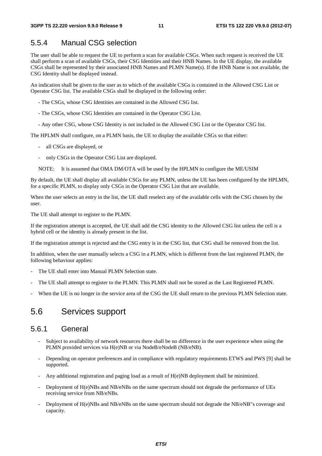### 5.5.4 Manual CSG selection

The user shall be able to request the UE to perform a scan for available CSGs. When such request is received the UE shall perform a scan of available CSGs, their CSG Identities and their HNB Names. In the UE display, the available CSGs shall be represented by their associated HNB Names and PLMN Name(s). If the HNB Name is not available, the CSG Identity shall be displayed instead.

An indication shall be given to the user as to which of the available CSGs is contained in the Allowed CSG List or Operator CSG list. The available CSGs shall be displayed in the following order:

- The CSGs, whose CSG Identities are contained in the Allowed CSG list.

- The CSGs, whose CSG Identities are contained in the Operator CSG List.
- Any other CSG, whose CSG Identity is not included in the Allowed CSG List or the Operator CSG list.

The HPLMN shall configure, on a PLMN basis, the UE to display the available CSGs so that either:

- all CSGs are displayed, or
- only CSGs in the Operator CSG List are displayed.
- NOTE: It is assumed that OMA DM/OTA will be used by the HPLMN to configure the ME/USIM

By default, the UE shall display all available CSGs for any PLMN, unless the UE has been configured by the HPLMN, for a specific PLMN, to display only CSGs in the Operator CSG List that are available.

When the user selects an entry in the list, the UE shall reselect any of the available cells with the CSG chosen by the user.

The UE shall attempt to register to the PLMN.

If the registration attempt is accepted, the UE shall add the CSG identity to the Allowed CSG list unless the cell is a hybrid cell or the identity is already present in the list.

If the registration attempt is rejected and the CSG entry is in the CSG list, that CSG shall be removed from the list.

In addition, when the user manually selects a CSG in a PLMN, which is different from the last registered PLMN, the following behaviour applies:

- The UE shall enter into Manual PLMN Selection state.
- The UE shall attempt to register to the PLMN. This PLMN shall not be stored as the Last Registered PLMN.
- When the UE is no longer in the service area of the CSG the UE shall return to the previous PLMN Selection state.

### 5.6 Services support

#### 5.6.1 General

- Subject to availability of network resources there shall be no difference in the user experience when using the PLMN provided services via H(e)NB or via NodeB/eNodeB (NB/eNB).
- Depending on operator preferences and in compliance with regulatory requirements ETWS and PWS [9] shall be supported.
- Any additional registration and paging load as a result of H(e)NB deployment shall be minimized.
- Deployment of H(e)NBs and NB/eNBs on the same spectrum should not degrade the performance of UEs receiving service from NB/eNBs.
- Deployment of H(e)NBs and NB/eNBs on the same spectrum should not degrade the NB/eNB"s coverage and capacity.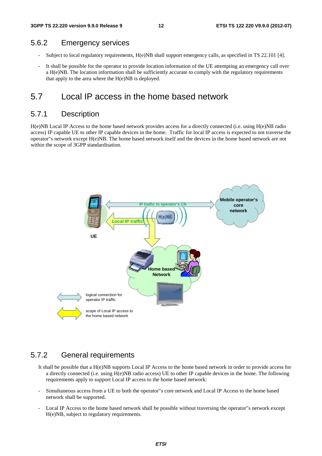#### 5.6.2 Emergency services

- Subject to local regulatory requirements, H(e)NB shall support emergency calls, as specified in TS 22.101 [4].
- It shall be possible for the operator to provide location information of the UE attempting an emergency call over a H(e)NB. The location information shall be sufficiently accurate to comply with the regulatory requirements that apply to the area where the H(e)NB is deployed.

### 5.7 Local IP access in the home based network

### 5.7.1 Description

H(e)NB Local IP Access to the home based network provides access for a directly connected (i.e. using H(e)NB radio access) IP capable UE to other IP capable devices in the home. Traffic for local IP access is expected to not traverse the operator"s network except H(e)NB. The home based network itself and the devices in the home based network are not within the scope of 3GPP standardisation.



### 5.7.2 General requirements

- It shall be possible that a H(e)NB supports Local IP Access to the home based network in order to provide access for a directly connected (i.e. using H(e)NB radio access) UE to other IP capable devices in the home. The following requirements apply to support Local IP access to the home based network:
- Simultaneous access from a UE to both the operator"s core network and Local IP Access to the home based network shall be supported.
- Local IP Access to the home based network shall be possible without traversing the operator"s network except H(e)NB, subject to regulatory requirements.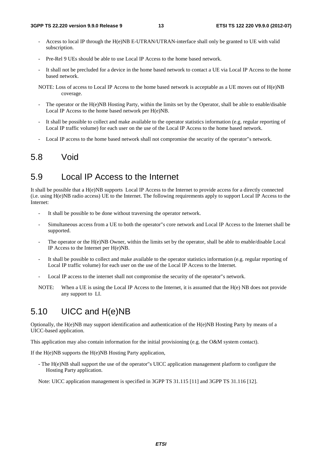- Access to local IP through the H(e)NB E-UTRAN/UTRAN-interface shall only be granted to UE with valid subscription.
- Pre-Rel 9 UEs should be able to use Local IP Access to the home based network.
- It shall not be precluded for a device in the home based network to contact a UE via Local IP Access to the home based network.
- NOTE: Loss of access to Local IP Access to the home based network is acceptable as a UE moves out of H(e)NB coverage.
- The operator or the H(e)NB Hosting Party, within the limits set by the Operator, shall be able to enable/disable Local IP Access to the home based network per H(e)NB.
- It shall be possible to collect and make available to the operator statistics information (e.g. regular reporting of Local IP traffic volume) for each user on the use of the Local IP Access to the home based network.
- Local IP access to the home based network shall not compromise the security of the operator"s network.

### 5.8 Void

### 5.9 Local IP Access to the Internet

It shall be possible that a H(e)NB supports Local IP Access to the Internet to provide access for a directly connected (i.e. using H(e)NB radio access) UE to the Internet. The following requirements apply to support Local IP Access to the Internet:

- It shall be possible to be done without traversing the operator network.
- Simultaneous access from a UE to both the operator"s core network and Local IP Access to the Internet shall be supported.
- The operator or the H(e)NB Owner, within the limits set by the operator, shall be able to enable/disable Local IP Access to the Internet per H(e)NB.
- It shall be possible to collect and make available to the operator statistics information (e.g. regular reporting of Local IP traffic volume) for each user on the use of the Local IP Access to the Internet.
- Local IP access to the internet shall not compromise the security of the operator"s network.
- NOTE: When a UE is using the Local IP Access to the Internet, it is assumed that the H(e) NB does not provide any support to LI.

# 5.10 UICC and H(e)NB

Optionally, the H(e)NB may support identification and authentication of the H(e)NB Hosting Party by means of a UICC-based application.

This application may also contain information for the initial provisioning (e.g. the O&M system contact).

If the H(e)NB supports the H(e)NB Hosting Party application,

- The H(e)NB shall support the use of the operator"s UICC application management platform to configure the Hosting Party application.

Note: UICC application management is specified in 3GPP TS 31.115 [11] and 3GPP TS 31.116 [12].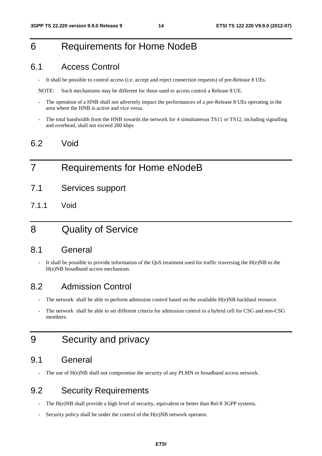# 6 Requirements for Home NodeB

### 6.1 Access Control

- It shall be possible to control access (i.e. accept and reject connection requests) of pre-Release 8 UEs.

NOTE: Such mechanisms may be different for those used to access control a Release 8 UE.

- The operation of a HNB shall not adversely impact the performances of a pre-Release 8 UEs operating in the area where the HNB is active and vice versa.
- The total bandwidth from the HNB towards the network for 4 simultaneous TS11 or TS12, including signalling and overhead, shall not exceed 200 kbps

### 6.2 Void

# 7 Requirements for Home eNodeB

- 7.1 Services support
- 7.1.1 Void

# 8 Quality of Service

### 8.1 General

It shall be possible to provide information of the QoS treatment used for traffic traversing the  $H(e)NB$  to the H(e)NB broadband access mechanism.

### 8.2 Admission Control

- The network shall be able to perform admission control based on the available H(e)NB backhaul resource.
- The network shall be able to set different criteria for admission control in a hybrid cell for CSG and non-CSG members.

# 9 Security and privacy

### 9.1 General

The use of  $H(e)NB$  shall not compromise the security of any PLMN or broadband access network.

# 9.2 Security Requirements

- The H(e)NB shall provide a high level of security, equivalent or better than Rel-8 3GPP systems.
- Security policy shall be under the control of the H(e)NB network operator.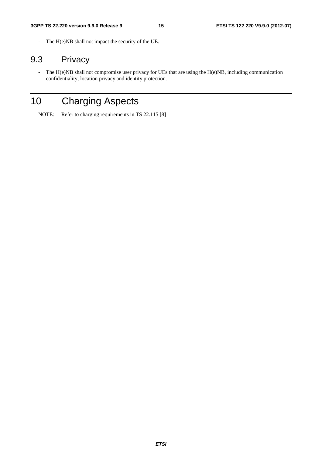- The H(e)NB shall not impact the security of the UE.

# 9.3 Privacy

- The H(e)NB shall not compromise user privacy for UEs that are using the H(e)NB, including communication confidentiality, location privacy and identity protection.

# 10 Charging Aspects

NOTE: Refer to charging requirements in TS 22.115 [8]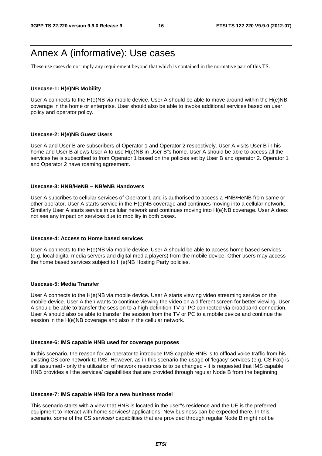# Annex A (informative): Use cases

These use cases do not imply any requirement beyond that which is contained in the normative part of this TS.

#### **Usecase-1: H(e)NB Mobility**

User A connects to the H(e)NB via mobile device. User A should be able to move around within the H(e)NB coverage in the home or enterprise. User should also be able to invoke additional services based on user policy and operator policy.

#### **Usecase-2: H(e)NB Guest Users**

User A and User B are subscribers of Operator 1 and Operator 2 respectively. User A visits User B in his home and User B allows User A to use H(e)NB in User B"s home. User A should be able to access all the services he is subscribed to from Operator 1 based on the policies set by User B and operator 2. Operator 1 and Operator 2 have roaming agreement.

#### **Usecase-3: HNB/HeNB – NB/eNB Handovers**

User A subcribes to cellular services of Operator 1 and is authorised to access a HNB/HeNB from same or other operator. User A starts service in the H(e)NB coverage and continues moving into a cellular network. Similarly User A starts service in cellular network and continues moving into H(e)NB coverage. User A does not see any impact on services due to mobility in both cases.

#### **Usecase-4: Access to Home based services**

User A connects to the H(e)NB via mobile device. User A should be able to access home based services (e.g. local digital media servers and digital media players) from the mobile device. Other users may access the home based services subject to H(e)NB Hosting Party policies.

#### **Usecase-5: Media Transfer**

User A connects to the H(e)NB via mobile device. User A starts viewing video streaming service on the mobile device. User A then wants to continue viewing the video on a different screen for better viewing. User A should be able to transfer the session to a high-definition TV or PC connected via broadband connection. User A should also be able to transfer the session from the TV or PC to a mobile device and continue the session in the H(e)NB coverage and also in the cellular network.

#### **Usecase-6: IMS capable HNB used for coverage purposes**

In this scenario, the reason for an operator to introduce IMS capable HNB is to offload voice traffic from his existing CS core network to IMS. However, as in this scenario the usage of 'legacy' services (e.g. CS Fax) is still assumed - only the utilization of network resources is to be changed - it is requested that IMS capable HNB provides all the services/ capabilities that are provided through regular Node B from the beginning.

#### **Usecase-7: IMS capable HNB for a new business model**

This scenario starts with a view that HNB is located in the user"s residence and the UE is the preferred equipment to interact with home services/ applications. New business can be expected there. In this scenario, some of the CS services/ capabilities that are provided through regular Node B might not be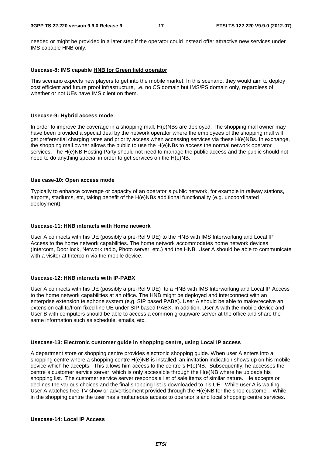needed or might be provided in a later step if the operator could instead offer attractive new services under IMS capable HNB only.

#### **Usecase-8: IMS capable HNB for Green field operator**

This scenario expects new players to get into the mobile market. In this scenario, they would aim to deploy cost efficient and future proof infrastructure, i.e. no CS domain but IMS/PS domain only, regardless of whether or not UEs have IMS client on them.

#### **Usecase-9: Hybrid access mode**

In order to improve the coverage in a shopping mall, H(e)NBs are deployed. The shopping mall owner may have been provided a special deal by the network operator where the employees of the shopping mall will get preferential charging rates and priority access when accessing services via these H(e)NBs. In exchange, the shopping mall owner allows the public to use the H(e)NBs to access the normal network operator services. The H(e)NB Hosting Party should not need to manage the public access and the public should not need to do anything special in order to get services on the H(e)NB.

#### **Use case-10: Open access mode**

Typically to enhance coverage or capacity of an operator"s public network, for example in railway stations, airports, stadiums, etc, taking benefit of the H(e)NBs additional functionality (e.g. uncoordinated deployment).

#### **Usecase-11: HNB interacts with Home network**

User A connects with his UE (possibly a pre-Rel 9 UE) to the HNB with IMS Interworking and Local IP Access to the home network capabilities. The home network accommodates home network devices (Intercom, Door lock, Network radio, Photo server, etc.) and the HNB. User A should be able to communicate with a visitor at Intercom via the mobile device.

#### **Usecase-12: HNB interacts with IP-PABX**

User A connects with his UE (possibly a pre-Rel 9 UE) to a HNB with IMS Interworking and Local IP Access to the home network capabilities at an office. The HNB might be deployed and interconnect with an enterprise extension telephone system (e.g. SIP based PABX). User A should be able to make/receive an extension call to/from fixed line UE under SIP based PABX. In addition, User A with the mobile device and User B with computers should be able to access a common groupware server at the office and share the same information such as schedule, emails, etc.

#### **Usecase-13: Electronic customer guide in shopping centre, using Local IP access**

A department store or shopping centre provides electronic shopping guide. When user A enters into a shopping centre where a shopping centre H(e)NB is installed, an invitation indication shows up on his mobile device which he accepts. This allows him access to the centre"s H(e)NB. Subsequently, he accesses the centre"s customer service server, which is only accessible through the H(e)NB where he uploads his shopping list. The customer service server responds a list of sale items of similar nature. He accepts or declines the various choices and the final shopping list is downloaded to his UE. While user A is waiting, User A watches free TV show or advertisement provided through the H(e)NB for the shop customer. While in the shopping centre the user has simultaneous access to operator"s and local shopping centre services.

#### **Usecase-14: Local IP Access**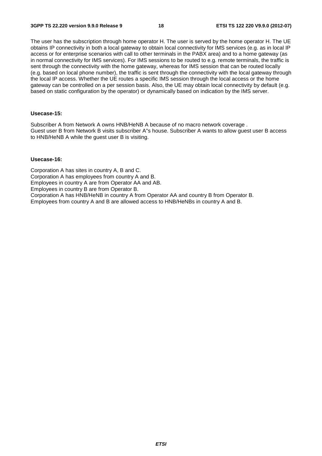The user has the subscription through home operator H. The user is served by the home operator H. The UE obtains IP connectivity in both a local gateway to obtain local connectivity for IMS services (e.g. as in local IP access or for enterprise scenarios with call to other terminals in the PABX area) and to a home gateway (as in normal connectivity for IMS services). For IMS sessions to be routed to e.g. remote terminals, the traffic is sent through the connectivity with the home gateway, whereas for IMS session that can be routed locally (e.g. based on local phone number), the traffic is sent through the connectivity with the local gateway through the local IP access. Whether the UE routes a specific IMS session through the local access or the home gateway can be controlled on a per session basis. Also, the UE may obtain local connectivity by default (e.g. based on static configuration by the operator) or dynamically based on indication by the IMS server.

#### **Usecase-15:**

Subscriber A from Network A owns HNB/HeNB A because of no macro network coverage . Guest user B from Network B visits subscriber A"s house. Subscriber A wants to allow guest user B access to HNB/HeNB A while the guest user B is visiting.

#### **Usecase-16:**

Corporation A has sites in country A, B and C. Corporation A has employees from country A and B. Employees in country A are from Operator AA and AB. Employees in country B are from Operator B. Corporation A has HNB/HeNB in country A from Operator AA and country B from Operator B. Employees from country A and B are allowed access to HNB/HeNBs in country A and B.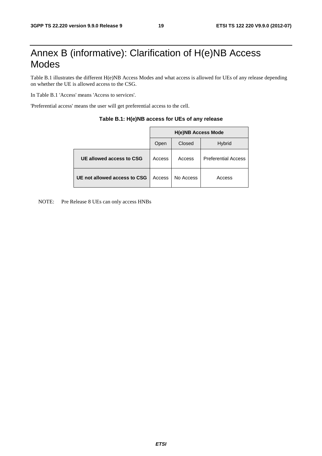# Annex B (informative): Clarification of H(e)NB Access Modes

Table B.1 illustrates the different H(e)NB Access Modes and what access is allowed for UEs of any release depending on whether the UE is allowed access to the CSG.

In Table B.1 'Access' means 'Access to services'.

'Preferential access' means the user will get preferential access to the cell.

|                              | <b>H(e)NB Access Mode</b> |           |                            |  |  |  |
|------------------------------|---------------------------|-----------|----------------------------|--|--|--|
|                              | Open                      | Closed    | <b>Hybrid</b>              |  |  |  |
| UE allowed access to CSG     | Access                    | Access    | <b>Preferential Access</b> |  |  |  |
| UE not allowed access to CSG | Access                    | No Access | Access                     |  |  |  |

#### **Table B.1: H(e)NB access for UEs of any release**

NOTE: Pre Release 8 UEs can only access HNBs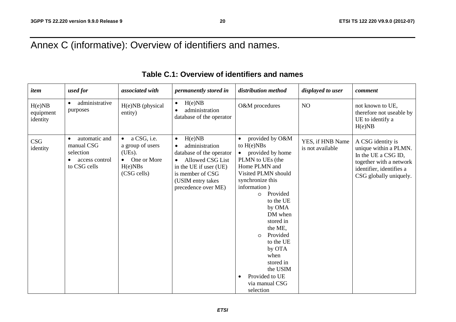# Annex C (informative): Overview of identifiers and names.

| item                            | used for                                                                   | associated with                                                                                              | permanently stored in                                                                                                                                                           | distribution method                                                                                                                                                                                                                                                                                                                                                   | displayed to user                    | comment                                                                                                                                            |
|---------------------------------|----------------------------------------------------------------------------|--------------------------------------------------------------------------------------------------------------|---------------------------------------------------------------------------------------------------------------------------------------------------------------------------------|-----------------------------------------------------------------------------------------------------------------------------------------------------------------------------------------------------------------------------------------------------------------------------------------------------------------------------------------------------------------------|--------------------------------------|----------------------------------------------------------------------------------------------------------------------------------------------------|
| H(e)NB<br>equipment<br>identity | administrative<br>$\bullet$<br>purposes                                    | H(e)NB (physical<br>entity)                                                                                  | H(e)NB<br>$\bullet$<br>administration<br>$\bullet$<br>database of the operator                                                                                                  | O&M procedures                                                                                                                                                                                                                                                                                                                                                        | NO                                   | not known to UE,<br>therefore not useable by<br>UE to identify a<br>H(e)NB                                                                         |
| <b>CSG</b><br>identity          | automatic and<br>manual CSG<br>selection<br>access control<br>to CSG cells | a CSG, i.e.<br>$\bullet$<br>a group of users<br>(UEs).<br>One or More<br>$\bullet$<br>H(e)NBs<br>(CSG cells) | H(e)NB<br>$\bullet$<br>administration<br>database of the operator<br>Allowed CSG List<br>in the UE if user (UE)<br>is member of CSG<br>(USIM entry takes<br>precedence over ME) | provided by O&M<br>to $H(e)NBs$<br>provided by home<br>PLMN to UEs (the<br>Home PLMN and<br>Visited PLMN should<br>synchronize this<br>information)<br>Provided<br>$\circ$<br>to the UE<br>by OMA<br>DM when<br>stored in<br>the ME,<br>Provided<br>$\Omega$<br>to the UE<br>by OTA<br>when<br>stored in<br>the USIM<br>Provided to UE<br>via manual CSG<br>selection | YES, if HNB Name<br>is not available | A CSG identity is<br>unique within a PLMN.<br>In the UE a CSG ID,<br>together with a network<br>identifier, identifies a<br>CSG globally uniquely. |

### **Table C.1: Overview of identifiers and names**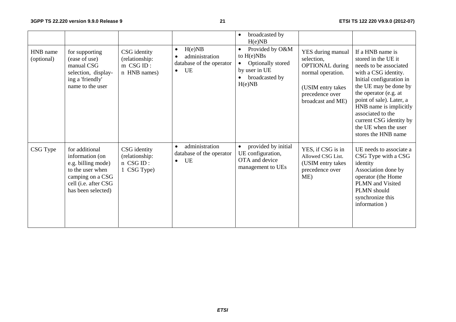|                        |                                                                                                                                               |                                                               |                                                                                      | broadcasted by<br>$\bullet$<br>H(e)NB                                                                                       |                                                                                                                                             |                                                                                                                                                                                                                                                                                                                              |
|------------------------|-----------------------------------------------------------------------------------------------------------------------------------------------|---------------------------------------------------------------|--------------------------------------------------------------------------------------|-----------------------------------------------------------------------------------------------------------------------------|---------------------------------------------------------------------------------------------------------------------------------------------|------------------------------------------------------------------------------------------------------------------------------------------------------------------------------------------------------------------------------------------------------------------------------------------------------------------------------|
| HNB name<br>(optional) | for supporting<br>(ease of use)<br>manual CSG<br>selection, display-<br>ing a 'friendly'<br>name to the user                                  | CSG identity<br>(relationship:<br>$m$ CSG ID:<br>n HNB names) | H(e)NB<br>$\bullet$<br>administration<br>database of the operator<br>UE<br>$\bullet$ | Provided by O&M<br>$\bullet$<br>to $H(e)NBs$<br>Optionally stored<br>$\bullet$<br>by user in UE<br>broadcasted by<br>H(e)NB | YES during manual<br>selection,<br><b>OPTIONAL</b> during<br>normal operation.<br>(USIM entry takes<br>precedence over<br>broadcast and ME) | If a HNB name is<br>stored in the UE it<br>needs to be associated<br>with a CSG identity.<br>Initial configuration in<br>the UE may be done by<br>the operator (e.g. at<br>point of sale). Later, a<br>HNB name is implicitly<br>associated to the<br>current CSG identity by<br>the UE when the user<br>stores the HNB name |
| CSG Type               | for additional<br>information (on<br>e.g. billing mode)<br>to the user when<br>camping on a CSG<br>cell (i.e. after CSG<br>has been selected) | CSG identity<br>(relationship:<br>n CSG ID:<br>1 CSG Type)    | administration<br>$\bullet$<br>database of the operator<br>UE<br>$\bullet$           | provided by initial<br>UE configuration,<br>OTA and device<br>management to UEs                                             | YES, if CSG is in<br>Allowed CSG List.<br>(USIM entry takes<br>precedence over<br>ME)                                                       | UE needs to associate a<br>CSG Type with a CSG<br>identity<br>Association done by<br>operator (the Home<br>PLMN and Visited<br>PLMN should<br>synchronize this<br>information)                                                                                                                                               |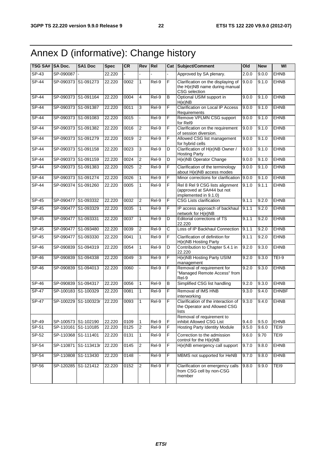# Annex D (informative): Change history

| TSG SA# SA Doc. |                     | SA1 Doc              | <b>Spec</b> | <b>CR</b> | <b>Rev</b>     | Rel     |   | Cat Subject/Comment                                                                    | Old   | <b>New</b> | WI           |
|-----------------|---------------------|----------------------|-------------|-----------|----------------|---------|---|----------------------------------------------------------------------------------------|-------|------------|--------------|
| $SP-43$         | SP-090087           |                      | 22.220      |           |                |         |   | Approved by SA plenary.                                                                | 2.0.0 | 9.0.0      | <b>EHNB</b>  |
| $SP-44$         | SP-090373 S1-091273 |                      | 22.220      | 0002      | 1              | Rel-9   | F | Clarification on the displaying of<br>the H(e)NB name during manual<br>CSG selection   | 9.0.0 | 9.1.0      | <b>EHNB</b>  |
| $SP-44$         | SP-090373 S1-091164 |                      | 22.220      | 0004      | $\overline{4}$ | Rel-9   | B | Optional USIM support in<br>H(e)NB                                                     | 9.0.0 | 9.1.0      | <b>EHNB</b>  |
| <b>SP-44</b>    | SP-090373 S1-091387 |                      | 22.220      | 0011      | 3              | Rel-9   | F | Clarification on Local IP Access<br>Requirements                                       | 9.0.0 | 9.1.0      | <b>EHNB</b>  |
| $SP-44$         | SP-090373 S1-091083 |                      | 22.220      | 0015      |                | Rel-9   | F | Remove VPLMN CSG support<br>for Rel9                                                   | 9.0.0 | 9.1.0      | <b>EHNB</b>  |
| $SP-44$         | SP-090373 S1-091382 |                      | 22.220      | 0016      | $\overline{2}$ | $ReI-9$ | F | Clarification on the requirement<br>of session diversion.                              | 9.0.0 | 9.1.0      | <b>EHNB</b>  |
| $SP-44$         | SP-090373 S1-091279 |                      | 22.220      | 0019      | 2              | $Rel-9$ | F | Allowed CSG list management<br>for hybrid cells                                        | 9.0.0 | 9.1.0      | <b>EHNB</b>  |
| $SP-44$         | SP-090373 S1-091158 |                      | 22.220      | 0023      | 3              | $Rel-9$ | D | Clarification of H(e)NB Owner /<br><b>Hosting Party</b>                                | 9.0.0 | 9.1.0      | <b>EHNB</b>  |
| $SP-44$         | SP-090373 S1-091159 |                      | 22.220      | 0024      | $\overline{2}$ | $Rel-9$ | D | H(e)NB Operator Change                                                                 | 9.0.0 | 9.1.0      | <b>EHNB</b>  |
| <b>SP-44</b>    | SP-090373 S1-091383 |                      | 22.220      | 0025      | $\overline{2}$ | Rel-9   | F | Clarification of the terminology<br>about H(e)NB access modes                          | 9.0.0 | 9.1.0      | <b>EHNB</b>  |
| <b>SP-44</b>    |                     | SP-090373 S1-091274  | 22.220      | 0026      | $\mathbf{1}$   | Rel-9   | F | Minor corrections for clarification                                                    | 9.0.0 | 9.1.0      | <b>EHNB</b>  |
| <b>SP-44</b>    |                     | SP-090374 S1-091260  | 22.220      | 0005      | 1              | $ReI-9$ | F | Rel 8 Rel 9 CSG lists alignment<br>(approved at SA#44 but not<br>implemented in 9.1.0) | 9.1.0 | 9.1.1      | <b>EHNB</b>  |
| SP-45           | SP-090477 S1-093332 |                      | 22.220      | 0032      | $\overline{2}$ | Rel-9   | F | <b>CSG Lists clarification</b>                                                         | 9.1.1 | 9.2.0      | <b>EHNB</b>  |
| $SP-45$         | SP-090477 S1-093329 |                      | 22.220      | 0035      | $\mathbf{1}$   | $ReI-9$ | F | IP access approach of backhaul<br>network for H(e)NB                                   | 9.1.1 | 9.2.0      | <b>EHNB</b>  |
| SP-45           | SP-090477 S1-093331 |                      | 22.220      | 0037      | $\mathbf{1}$   | $ReI-9$ | D | Editorial corrections of TS<br>22.220                                                  | 9.1.1 | 9.2.0      | <b>EHNB</b>  |
| $SP-45$         | SP-090477 S1-093480 |                      | 22.220      | 0039      | 2              | Rel-9   | C | Loss of IP Backhaul Connection                                                         | 9.1.1 | 9.2.0      | <b>EHNB</b>  |
| SP-45           |                     | SP-090477 S1-093330  | 22.220      | 0041      | $\mathbf{1}$   | Rel-9   | F | Clarification of definition for<br>H(e)NB Hosting Party                                | 9.1.1 | 9.2.0      | <b>EHNB</b>  |
| $SP-46$         |                     | SP-090839 S1-094319  | 22.220      | 0054      | $\mathbf{1}$   | $Rel-9$ | D | Contribution to Chapter 5.4.1 in<br>22.220                                             | 9.2.0 | 9.3.0      | <b>EHNB</b>  |
| SP-46           | SP-090839 S1-094338 |                      | 22.220      | 0049      | 3              | Rel-9   | F | H(e)NB Hosting Party USIM<br>management                                                | 9.2.0 | 9.3.0      | TEI-9        |
| SP-46           |                     | SP-090839 S1-094013  | 22.220      | 0060      |                | Rel-9   | F | Removal of requirement for<br>"Managed Remote Access" from<br>Rel-9                    | 9.2.0 | 9.3.0      | <b>EHNB</b>  |
| $SP-46$         | SP-090839 S1-094317 |                      | 22.220      | 0056      | 1              | $Rel-9$ | B | Simplified CSG list handling                                                           | 9.2.0 | 9.3.0      | <b>EHNB</b>  |
| $SP-47$         | SP-100183 S1-100329 |                      | 22.220      | 0081      | 1              | Rel-9   | F | Removal of IMS HNB<br>interworking                                                     | 9.3.0 | 9.4.0      | <b>EHNBF</b> |
| <b>SP-47</b>    |                     | SP-100229 S1-100323r | 22.220      | 0093      | 1              | Rel-9   | F | Clarification of the interaction of<br>the Operator and Allowed CSG<br>lists           | 9.3.0 | 9.4.0      | <b>EHNB</b>  |
| SP-49           | SP-100573 S1-102190 |                      | 22.220      | 0109      | 1              | Rel-9   | F | Removal of requirement to<br>inhibit Allowed CSG List                                  | 9.4.0 | 9.5.0      | <b>EHNB</b>  |
| SP-51           | SP-110161 S1-110185 |                      | 22.220      | 0125      | 2              | Rel-9   | F | <b>Hosting Party Identity Module</b>                                                   | 9.5.0 | 9.6.0      | TEI9         |
| SP-52           | SP-110368 S1-111401 |                      | 22.220      | 0131      | $\mathbf{1}$   | Rel-9   | F | Correction to the admission<br>control for the H(e)NB                                  | 9.6.0 | 9.70       | TEI9         |
| SP-54           | SP-110871           | S1-113413r           | 22.220      | 0145      | 2              | Rel-9   | F | H(e)NB emergency call support                                                          | 9.7.0 | 9.8.0      | <b>EHNB</b>  |
| $SP-54$         | SP-110808 S1-113430 |                      | 22.220      | 0148      | $\overline{a}$ | Rel-9   | F | MBMS not supported for HeNB                                                            | 9.7.0 | 9.8.0      | <b>EHNB</b>  |
| SP-56           |                     | SP-120285 S1-121412  | 22.220      | 0152      | $\overline{2}$ | Rel-9   | F | Clarification on emergency calls<br>from CSG cell by non-CSG<br>member                 | 9.8.0 | 9.9.0      | TEI9         |